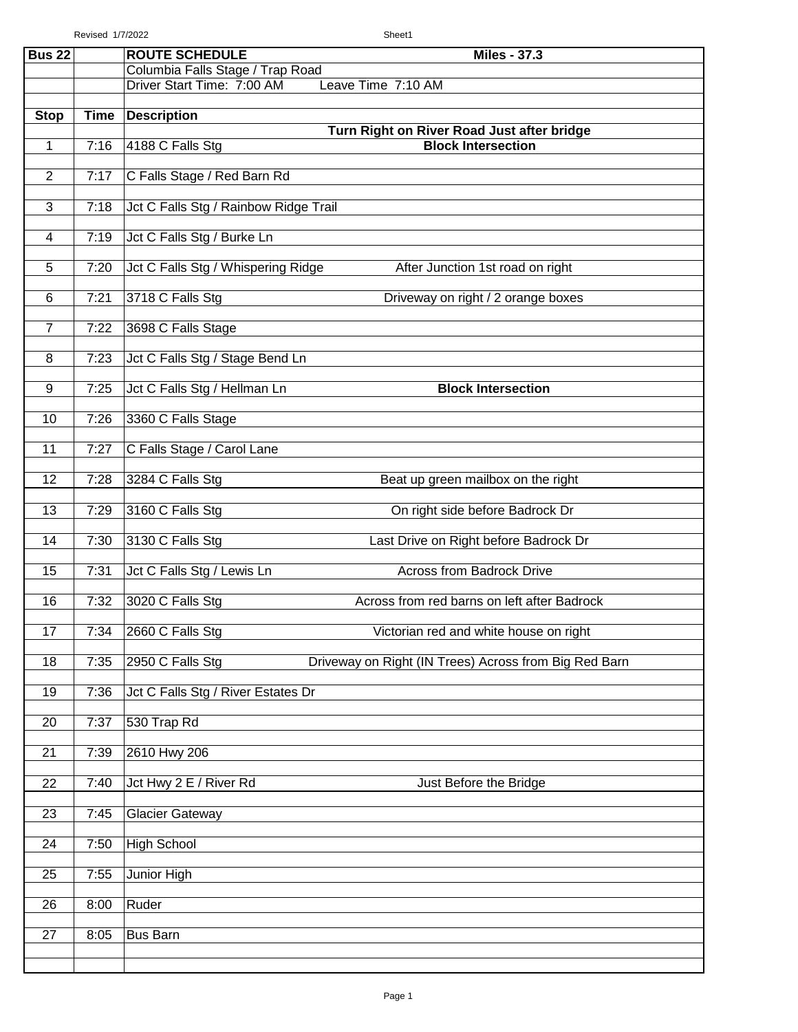Revised 1/7/2022 Sheet1

| <b>Bus 22</b>   |      | <b>ROUTE SCHEDULE</b><br><b>Miles - 37.3</b>                                                |
|-----------------|------|---------------------------------------------------------------------------------------------|
|                 |      | Columbia Falls Stage / Trap Road                                                            |
|                 |      | Driver Start Time: 7:00 AM<br>Leave Time 7:10 AM                                            |
| <b>Stop</b>     | Time | <b>Description</b>                                                                          |
| 1               | 7:16 | Turn Right on River Road Just after bridge<br>4188 C Falls Stg<br><b>Block Intersection</b> |
|                 |      |                                                                                             |
| $\overline{2}$  | 7:17 | C Falls Stage / Red Barn Rd                                                                 |
| $\overline{3}$  | 7:18 | Jct C Falls Stg / Rainbow Ridge Trail                                                       |
| 4               | 7:19 | Jct C Falls Stg / Burke Ln                                                                  |
| 5               | 7:20 | Jct C Falls Stg / Whispering Ridge<br>After Junction 1st road on right                      |
| 6               | 7:21 | 3718 C Falls Stg<br>Driveway on right / 2 orange boxes                                      |
| $\overline{7}$  | 7:22 | 3698 C Falls Stage                                                                          |
| 8               | 7:23 | Jct C Falls Stg / Stage Bend Ln                                                             |
| 9               | 7:25 | Jct C Falls Stg / Hellman Ln<br><b>Block Intersection</b>                                   |
| 10              | 7:26 | 3360 C Falls Stage                                                                          |
| 11              | 7:27 | C Falls Stage / Carol Lane                                                                  |
| 12              | 7:28 | 3284 C Falls Stg<br>Beat up green mailbox on the right                                      |
| 13              | 7:29 | 3160 C Falls Stg<br>On right side before Badrock Dr                                         |
| 14              | 7:30 | 3130 C Falls Stg<br>Last Drive on Right before Badrock Dr                                   |
| 15              | 7:31 | Jct C Falls Stg / Lewis Ln<br><b>Across from Badrock Drive</b>                              |
| 16              | 7:32 | 3020 C Falls Stg<br>Across from red barns on left after Badrock                             |
| $\overline{17}$ | 7:34 | 2660 C Falls Stg<br>Victorian red and white house on right                                  |
| 18              | 7:35 | 2950 C Falls Stg<br>Driveway on Right (IN Trees) Across from Big Red Barn                   |
| 19              | 7:36 | Jct C Falls Stg / River Estates Dr                                                          |
| 20              | 7:37 | 530 Trap Rd                                                                                 |
| 21              | 7:39 | 2610 Hwy 206                                                                                |
| 22              | 7:40 | Jct Hwy 2 E / River Rd<br>Just Before the Bridge                                            |
| 23              | 7:45 | <b>Glacier Gateway</b>                                                                      |
| 24              | 7:50 | <b>High School</b>                                                                          |
| 25              | 7:55 | Junior High                                                                                 |
| 26              | 8:00 | Ruder                                                                                       |
| 27              | 8:05 | <b>Bus Barn</b>                                                                             |
|                 |      |                                                                                             |